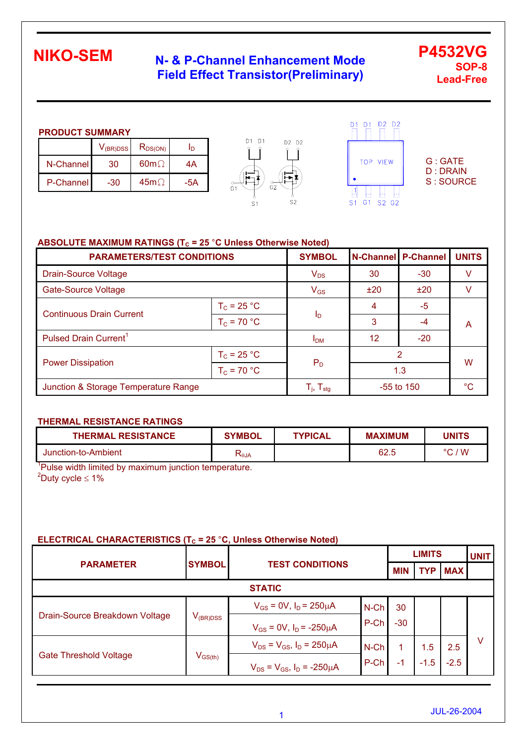## **N- & P-Channel Enhancement Mode Field Effect Transistor(Preliminary)**

**P4532VG SOP-8 Lead-Free** 

#### **PRODUCT SUMMARY**

|           | $V_{\rm (BR)DSS}$ | $R_{DS(ON)}$ | Ιŋ  |
|-----------|-------------------|--------------|-----|
| N-Channel | 30                | $60m\Omega$  | 4A  |
| P-Channel | -30               | $45m\Omega$  | -5A |





G : GATE D : DRAIN S : SOURCE

#### **ABSOLUTE MAXIMUM RATINGS (T<sub>C</sub> = 25 °C Unless Otherwise Noted)**

| <b>PARAMETERS/TEST CONDITIONS</b>    | <b>SYMBOL</b>   |                                                       | <b>N-Channel P-Channel</b> | <b>UNITS</b> |    |  |
|--------------------------------------|-----------------|-------------------------------------------------------|----------------------------|--------------|----|--|
| <b>Drain-Source Voltage</b>          | $V_{DS}$        | 30                                                    | $-30$                      |              |    |  |
| <b>Gate-Source Voltage</b>           | $V_{GS}$        | ±20                                                   | ±20                        |              |    |  |
| <b>Continuous Drain Current</b>      | $T_c = 25 °C$   |                                                       | 4                          | $-5$         |    |  |
|                                      | $T_c = 70 °C$   | I <sub>D</sub>                                        | 3                          | -4           | A  |  |
| Pulsed Drain Current <sup>1</sup>    | I <sub>DM</sub> | 12                                                    | $-20$                      |              |    |  |
| $T_c = 25 °C$                        |                 |                                                       | 2                          | W            |    |  |
| <b>Power Dissipation</b>             | $T_c = 70 °C$   | $P_D$                                                 | 1.3                        |              |    |  |
| Junction & Storage Temperature Range |                 | $\mathsf{T}_{\mathsf{j}},\,\mathsf{T}_{\mathsf{stg}}$ |                            | $-55$ to 150 | °C |  |

#### **THERMAL RESISTANCE RATINGS**

| <b>THERMAL RESISTANCE</b> | <b>SYMBOL</b> | <b>TYPICAL</b> | <b>MAXIMUM</b> | <b>JNITS</b>         |
|---------------------------|---------------|----------------|----------------|----------------------|
| Junction-to-Ambient       | ั∿ี⊎A         |                | 62.5           | $\sqrt{W}$<br>$\sim$ |

<sup>1</sup>Pulse width limited by maximum junction temperature.  $^{2}$ Duty cycle  $\leq 1\%$ 

#### **ELECTRICAL CHARACTERISTICS (T<sub>c</sub> = 25 °C, Unless Otherwise Noted)**

|                                |                                         |                                        |         |            | <b>LIMITS</b> |            |   |  |
|--------------------------------|-----------------------------------------|----------------------------------------|---------|------------|---------------|------------|---|--|
| <b>PARAMETER</b>               | <b>SYMBOL</b>                           | <b>TEST CONDITIONS</b>                 |         | <b>MIN</b> | <b>TYP</b>    | <b>MAX</b> |   |  |
|                                |                                         | <b>STATIC</b>                          |         |            |               |            |   |  |
| Drain-Source Breakdown Voltage | $V_{(BR)DSS}$                           | $V_{GS} = 0V$ , $I_D = 250 \mu A$      | $N$ -Ch | 30         |               |            |   |  |
|                                |                                         | $V_{GS} = 0V$ , $I_D = -250 \mu A$     | P-Ch    | $-30$      |               |            |   |  |
|                                |                                         | $V_{DS} = V_{GS}$ , $I_D = 250 \mu A$  | $N$ -Ch |            | 1.5           | 2.5        | v |  |
| <b>Gate Threshold Voltage</b>  | $\mathsf{V}_{\mathsf{GS}(\mathsf{th})}$ | $V_{DS} = V_{GS}$ , $I_D = -250 \mu A$ | P-Ch    | $-1$       | $-1.5$        | $-2.5$     |   |  |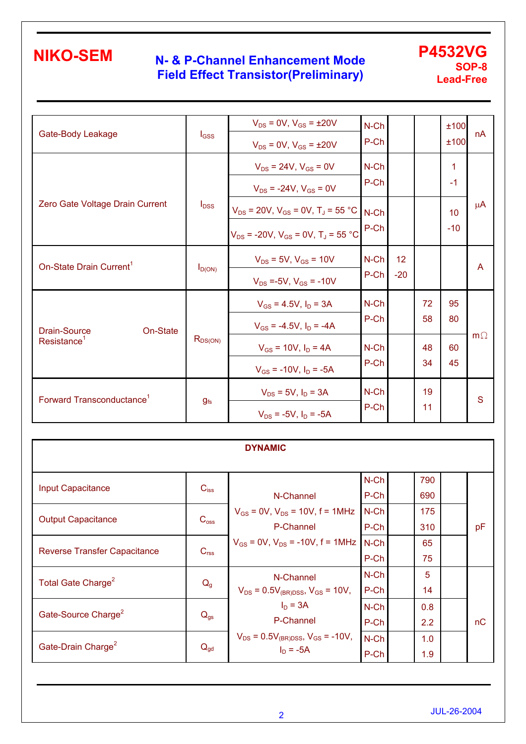## **N- & P-Channel Enhancement Mode Field Effect Transistor(Preliminary)**

#### **P4532VG SOP-8 Lead-Free**

| Gate-Body Leakage                     | $I_{GSS}$    | $V_{DS} = 0V$ , $V_{GS} = \pm 20V$<br>$V_{DS} = 0V$ , $V_{GS} = \pm 20V$                               | $N$ -Ch<br>P-Ch |             |          | ±100<br>±100 | nA        |
|---------------------------------------|--------------|--------------------------------------------------------------------------------------------------------|-----------------|-------------|----------|--------------|-----------|
|                                       |              | $V_{DS}$ = 24V, $V_{GS}$ = 0V<br>$V_{DS}$ = -24V, $V_{GS}$ = 0V                                        | $N$ -Ch<br>P-Ch |             |          | 1<br>$-1$    |           |
| Zero Gate Voltage Drain Current       | $I_{DSS}$    | $V_{DS}$ = 20V, $V_{GS}$ = 0V, T <sub>J</sub> = 55 °C<br>$V_{DS}$ = -20V, $V_{GS}$ = 0V, $T_A$ = 55 °C | $N$ -Ch<br>P-Ch |             |          | 10<br>$-10$  | $\mu$ A   |
| On-State Drain Current <sup>1</sup>   | $I_{D(ON)}$  | $V_{DS}$ = 5V, $V_{GS}$ = 10V<br>$V_{DS}$ =-5V, $V_{GS}$ = -10V                                        | N-Ch<br>P-Ch    | 12<br>$-20$ |          |              | A         |
| Drain-Source<br>On-State              |              | $V_{GS} = 4.5V$ , $I_D = 3A$<br>$V_{GS}$ = -4.5V, $I_D$ = -4A                                          | $N$ -Ch<br>P-Ch |             | 72<br>58 | 95<br>80     |           |
| Resistance <sup>1</sup>               | $R_{DS(ON)}$ | $V_{GS}$ = 10V, $I_D$ = 4A<br>$V_{GS}$ = -10V, $I_D$ = -5A                                             | $N$ -Ch<br>P-Ch |             | 48<br>34 | 60<br>45     | $m\Omega$ |
| Forward Transconductance <sup>1</sup> | $g_{fs}$     | $V_{DS}$ = 5V, $I_D$ = 3A<br>$V_{DS}$ = -5V, $I_D$ = -5A                                               | $N$ -Ch<br>P-Ch |             | 19<br>11 |              | S         |

| <b>DYNAMIC</b>                      |                  |                                                             |                 |            |  |    |  |  |  |
|-------------------------------------|------------------|-------------------------------------------------------------|-----------------|------------|--|----|--|--|--|
| <b>Input Capacitance</b>            | $C_{iss}$        | N-Channel                                                   | $N$ -Ch<br>P-Ch | 790<br>690 |  |    |  |  |  |
| <b>Output Capacitance</b>           | $C_{\rm oss}$    | $V_{GS}$ = 0V, $V_{DS}$ = 10V, f = 1MHz<br>P-Channel        | $N$ -Ch<br>P-Ch | 175<br>310 |  | pF |  |  |  |
| <b>Reverse Transfer Capacitance</b> | C <sub>rss</sub> | $V_{GS} = 0V$ , $V_{DS} = -10V$ , $f = 1MHz$ N-Ch           | P-Ch            | 65<br>75   |  |    |  |  |  |
| Total Gate Charge <sup>2</sup>      | $Q_{g}$          | N-Channel<br>$V_{DS} = 0.5V_{(BR)DSS}$ , $V_{GS} = 10V$ ,   | N-Ch<br>P-Ch    | 5<br>14    |  |    |  |  |  |
| Gate-Source Charge <sup>2</sup>     | $Q_{gs}$         | $I_D = 3A$<br>P-Channel                                     | $N$ -Ch<br>P-Ch | 0.8<br>2.2 |  | nC |  |  |  |
| Gate-Drain Charge <sup>2</sup>      | $Q_{gd}$         | $V_{DS} = 0.5V_{(BR)DSS}$ , $V_{GS} = -10V$ ,<br>$ID = -5A$ | $N$ -Ch<br>P-Ch | 1.0<br>1.9 |  |    |  |  |  |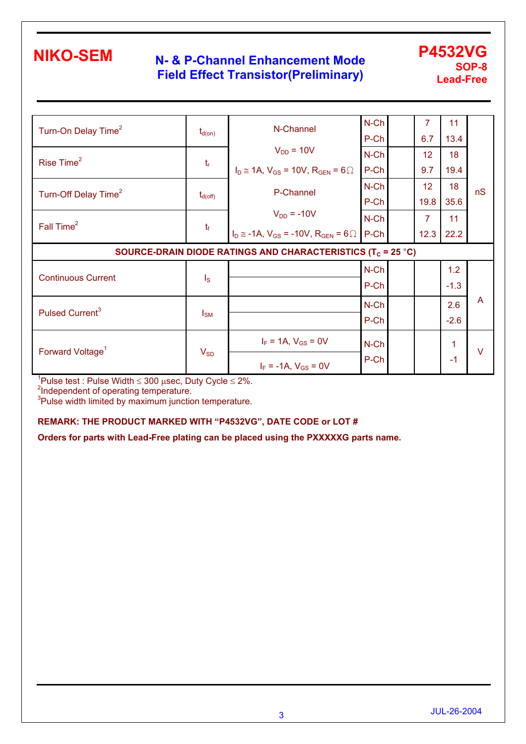## **N- & P-Channel Enhancement Mode Field Effect Transistor(Preliminary)**

#### **P4532VG SOP-8 Lead-Free**

| Turn-On Delay Time <sup>2</sup>                                         | $t_{d(on)}$             | N-Channel                                                  | $N$ -Ch<br>P-Ch |  | 7<br>6.7        | 11<br>13.4 |                |  |
|-------------------------------------------------------------------------|-------------------------|------------------------------------------------------------|-----------------|--|-----------------|------------|----------------|--|
|                                                                         |                         | $V_{DD}$ = 10V                                             | $N$ -Ch         |  | 12              | 18         |                |  |
| Rise Time <sup>2</sup>                                                  | $t_{r}$                 | $I_D \cong 1A$ , $V_{GS} = 10V$ , $R_{GEN} = 6 \Omega$     | P-Ch            |  | 9.7             | 19.4       |                |  |
| Turn-Off Delay Time <sup>2</sup>                                        | $t_{d(\text{off})}$     | P-Channel                                                  | $N$ -Ch         |  | 12 <sub>2</sub> | 18         | nS             |  |
|                                                                         |                         |                                                            | P-Ch            |  | 19.8            | 35.6       |                |  |
| Fall Time <sup>2</sup>                                                  | $t_{\rm f}$             | $V_{DD} = -10V$                                            | $N$ -Ch         |  | $\overline{7}$  | 11         |                |  |
|                                                                         |                         | $I_D \approx -1A$ , $V_{GS} = -10V$ , $R_{GEN} = 6 \Omega$ | P-Ch            |  | 12.3            | 22.2       |                |  |
| SOURCE-DRAIN DIODE RATINGS AND CHARACTERISTICS (T <sub>c</sub> = 25 °C) |                         |                                                            |                 |  |                 |            |                |  |
|                                                                         |                         |                                                            |                 |  |                 |            |                |  |
|                                                                         |                         |                                                            | $N$ -Ch         |  |                 | 1.2        |                |  |
| <b>Continuous Current</b>                                               | $\mathsf{I}_\mathsf{S}$ |                                                            | P-Ch            |  |                 | $-1.3$     |                |  |
|                                                                         |                         |                                                            | $N$ -Ch         |  |                 | 2.6        | $\overline{A}$ |  |
| Pulsed Current <sup>3</sup>                                             | $I_{\text{SM}}$         |                                                            | P-Ch            |  |                 | $-2.6$     |                |  |
| Forward Voltage <sup>1</sup>                                            | $V_{SD}$                | $I_F = 1A$ , $V_{GS} = 0V$                                 | $N$ -Ch         |  |                 | 1          | $\vee$         |  |

<sup>1</sup>Pulse test : Pulse Width ≤ 300 μsec, Duty Cycle ≤ 2%.<br><sup>2</sup>Independent of operating temperature.<br><sup>3</sup>Pulse width limited by maximum junction temperature.

#### **REMARK: THE PRODUCT MARKED WITH "P4532VG", DATE CODE or LOT #**

**Orders for parts with Lead-Free plating can be placed using the PXXXXXG parts name.**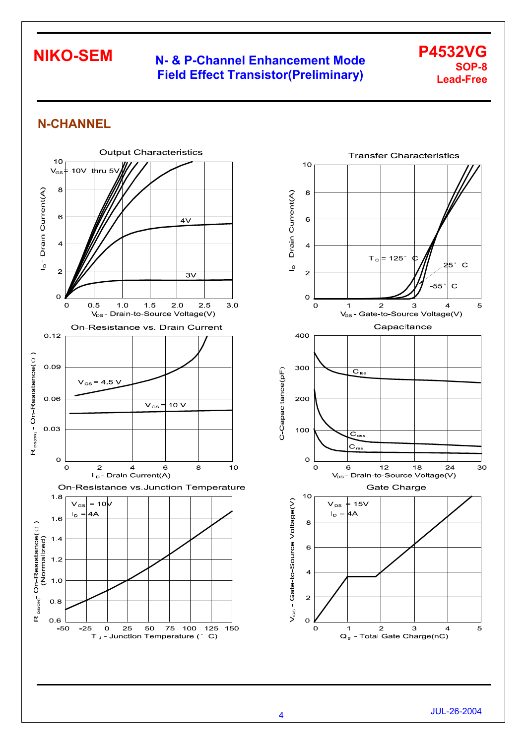## **N- & P-Channel Enhancement Mode Field Effect Transistor(Preliminary)**

#### **P4532VG SOP-8 Lead-Free**

## **N-CHANNEL**



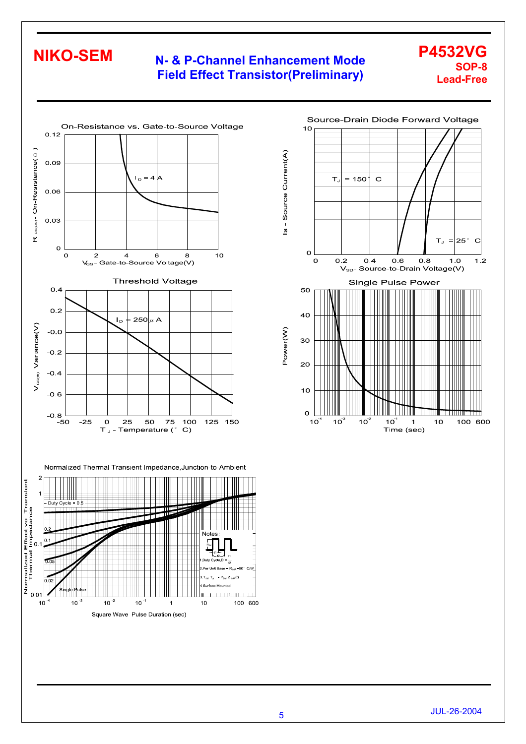#### **N- & P-Channel Enhancement Mode Field Effect Transistor(Preliminary)**



Normalized Thermal Transient Impedance, Junction-to-Ambient





**P4532VG** 

**Lead-Free** 

**SOP-8**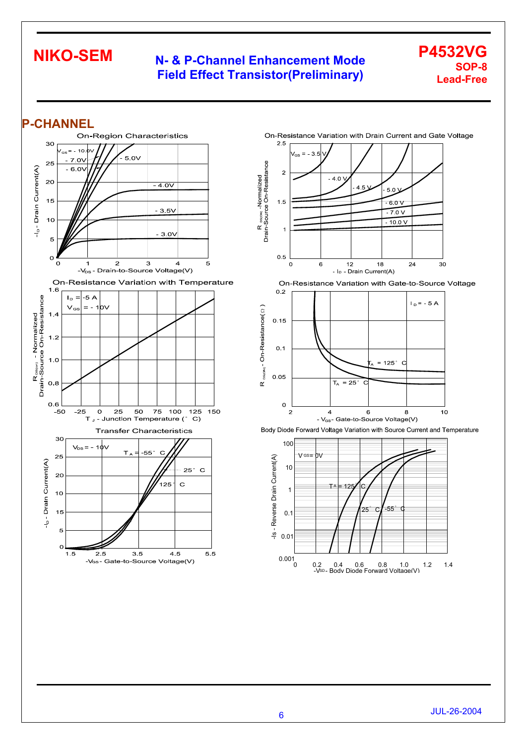### **N- & P-Channel Enhancement Mode Field Effect Transistor(Preliminary)**

#### **P4532VG SOP-8 Lead-Free**











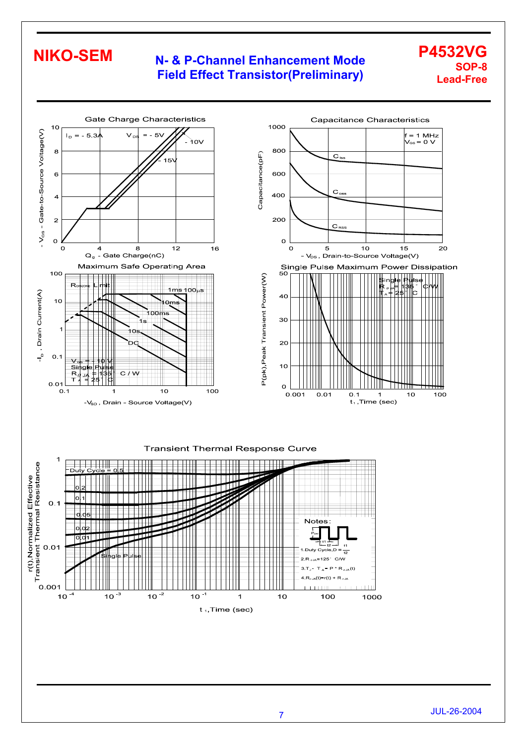### **N- & P-Channel Enhancement Mode Field Effect Transistor(Preliminary)**

#### **P4532VG SOP-8 Lead-Free**